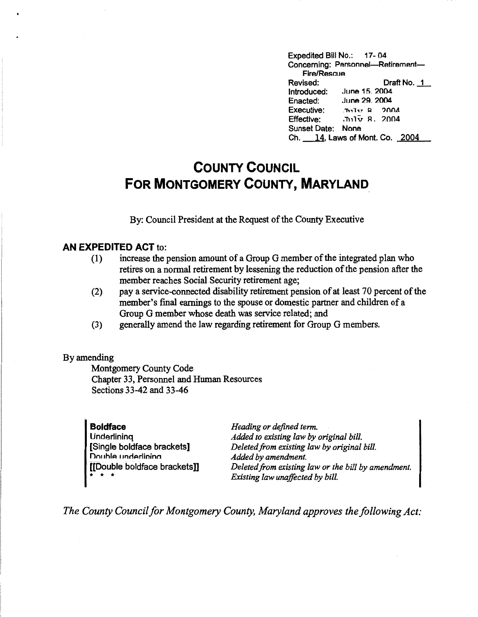Expedited Bill No.: 17- 04 Concerning: Personnel-Retirement-Fire/Rescue Revised: Draft No. 1 Introduced: June 15. 2004 Enacted: June 29. 2004 Executive: Thilty & 2004  $Effective:$   $\overline{J_1}$  $\overline{V}$  R. 2004 Sunset Date: None Ch. 14, Laws of Mont. Co. 2004

## **COUNTY COUNCIL FOR MONTGOMERY COUNTY, MARYLAND**

By: Council President at the Request of the County Executive

## **AN EXPEDITED ACT** to:

- (1) increase the pension amount of a Group G member of the integrated plan who retires on a normal retirement by lessening the reduction of the pension after the member reaches Social Security retirement age;
- (2) pay a service-connected disability retirement pension of at least 70 percent of the member's final earnings to the spouse or domestic partner and children of a Group G member whose death was service related; and
- (3) generally amend the law regarding retirement for Group G members.

## By amending

Montgomery County Code Chapter 33, Personnel and Human Resources Sections 33-42 and 33-46

**Boldface Underlining** [Single boldface brackets] Double underlining [[Double boldface brackets]] \* \* \*

*Heading or defined term. Added to existing law by original bill. Deleted.from existing law by original bill. Added by amendment. Deleted .from existing law or the bill by amendment. Existing law unaffected by bill.* 

*The County Council for Montgomery County, Maryland approves the following Act:*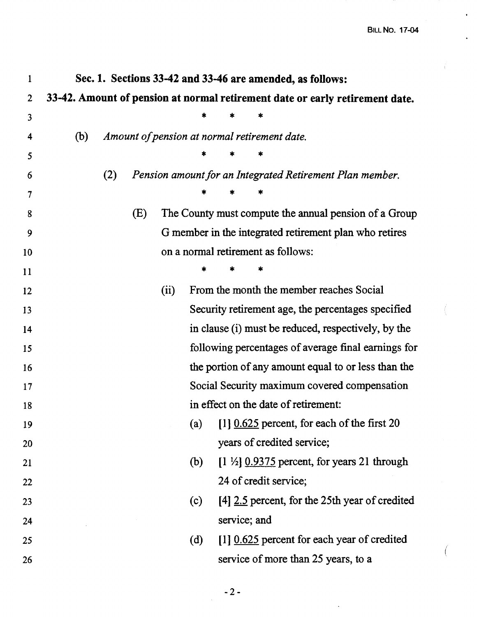¥.

L.

| $\mathbf{1}$   | Sec. 1. Sections 33-42 and 33-46 are amended, as follows: |     |     |      |     |  |                                                                              |  |
|----------------|-----------------------------------------------------------|-----|-----|------|-----|--|------------------------------------------------------------------------------|--|
| $\overline{2}$ |                                                           |     |     |      |     |  | 33-42. Amount of pension at normal retirement date or early retirement date. |  |
| 3              |                                                           |     |     |      |     |  |                                                                              |  |
| 4              | (b)                                                       |     |     |      |     |  | Amount of pension at normal retirement date.                                 |  |
| 5              |                                                           |     |     |      |     |  |                                                                              |  |
| 6              |                                                           | (2) |     |      |     |  | Pension amount for an Integrated Retirement Plan member.                     |  |
| 7              |                                                           |     |     |      |     |  |                                                                              |  |
| 8              |                                                           |     | (E) |      |     |  | The County must compute the annual pension of a Group                        |  |
| 9              |                                                           |     |     |      |     |  | G member in the integrated retirement plan who retires                       |  |
| 10             |                                                           |     |     |      |     |  | on a normal retirement as follows:                                           |  |
| 11             |                                                           |     |     |      |     |  |                                                                              |  |
| 12             |                                                           |     |     | (ii) |     |  | From the month the member reaches Social                                     |  |
| 13             |                                                           |     |     |      |     |  | Security retirement age, the percentages specified                           |  |
| 14             |                                                           |     |     |      |     |  | in clause (i) must be reduced, respectively, by the                          |  |
| 15             |                                                           |     |     |      |     |  | following percentages of average final earnings for                          |  |
| 16             |                                                           |     |     |      |     |  | the portion of any amount equal to or less than the                          |  |
| 17             |                                                           |     |     |      |     |  | Social Security maximum covered compensation                                 |  |
| 18             |                                                           |     |     |      |     |  | in effect on the date of retirement:                                         |  |
| 19             |                                                           |     |     |      |     |  | (a) [1] $0.625$ percent, for each of the first 20                            |  |
| 20             |                                                           |     |     |      |     |  | years of credited service;                                                   |  |
| 21             |                                                           |     |     |      | (b) |  | $[1 \frac{1}{2}]$ 0.9375 percent, for years 21 through                       |  |
| 22             |                                                           |     |     |      |     |  | 24 of credit service;                                                        |  |
| 23             |                                                           |     |     |      | (c) |  | [4] 2.5 percent, for the 25th year of credited                               |  |
| 24             |                                                           |     |     |      |     |  | service; and                                                                 |  |
| 25             |                                                           |     |     |      | (d) |  | [1] 0.625 percent for each year of credited                                  |  |
| 26             |                                                           |     |     |      |     |  | service of more than 25 years, to a                                          |  |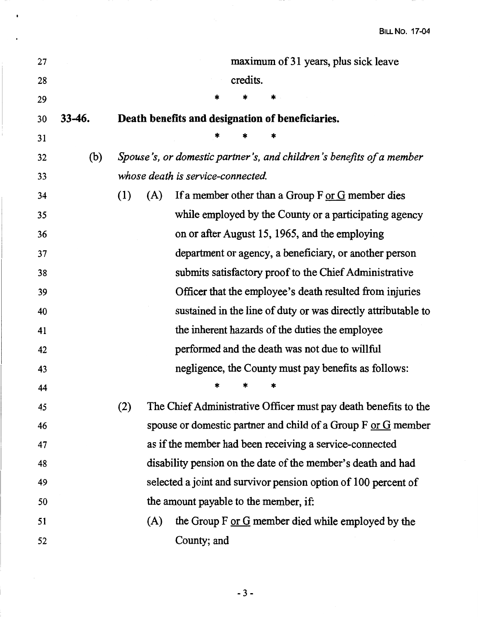| 27 |          |                                                                      |     |                                       |          | maximum of 31 years, plus sick leave                            |  |  |  |  |
|----|----------|----------------------------------------------------------------------|-----|---------------------------------------|----------|-----------------------------------------------------------------|--|--|--|--|
| 28 |          |                                                                      |     |                                       | credits. |                                                                 |  |  |  |  |
| 29 |          |                                                                      |     |                                       |          |                                                                 |  |  |  |  |
| 30 | $33-46.$ |                                                                      |     |                                       |          | Death benefits and designation of beneficiaries.                |  |  |  |  |
| 31 |          |                                                                      |     |                                       |          |                                                                 |  |  |  |  |
| 32 | (b)      | Spouse's, or domestic partner's, and children's benefits of a member |     |                                       |          |                                                                 |  |  |  |  |
| 33 |          | whose death is service-connected.                                    |     |                                       |          |                                                                 |  |  |  |  |
| 34 |          | (1)                                                                  | (A) |                                       |          | If a member other than a Group $F$ or $G$ member dies           |  |  |  |  |
| 35 |          |                                                                      |     |                                       |          | while employed by the County or a participating agency          |  |  |  |  |
| 36 |          |                                                                      |     |                                       |          | on or after August 15, 1965, and the employing                  |  |  |  |  |
| 37 |          |                                                                      |     |                                       |          | department or agency, a beneficiary, or another person          |  |  |  |  |
| 38 |          |                                                                      |     |                                       |          | submits satisfactory proof to the Chief Administrative          |  |  |  |  |
| 39 |          |                                                                      |     |                                       |          | Officer that the employee's death resulted from injuries        |  |  |  |  |
| 40 |          |                                                                      |     |                                       |          | sustained in the line of duty or was directly attributable to   |  |  |  |  |
| 41 |          | the inherent hazards of the duties the employee                      |     |                                       |          |                                                                 |  |  |  |  |
| 42 |          | performed and the death was not due to willful                       |     |                                       |          |                                                                 |  |  |  |  |
| 43 |          | negligence, the County must pay benefits as follows:                 |     |                                       |          |                                                                 |  |  |  |  |
| 44 |          |                                                                      |     |                                       |          |                                                                 |  |  |  |  |
| 45 |          | (2)                                                                  |     |                                       |          | The Chief Administrative Officer must pay death benefits to the |  |  |  |  |
| 46 |          |                                                                      |     |                                       |          | spouse or domestic partner and child of a Group F or G member   |  |  |  |  |
| 47 |          | as if the member had been receiving a service-connected              |     |                                       |          |                                                                 |  |  |  |  |
| 48 |          |                                                                      |     |                                       |          | disability pension on the date of the member's death and had    |  |  |  |  |
| 49 |          |                                                                      |     |                                       |          | selected a joint and survivor pension option of 100 percent of  |  |  |  |  |
| 50 |          |                                                                      |     | the amount payable to the member, if: |          |                                                                 |  |  |  |  |
| 51 |          |                                                                      | (A) |                                       |          | the Group F or G member died while employed by the              |  |  |  |  |
| 52 |          |                                                                      |     | County; and                           |          |                                                                 |  |  |  |  |

 $\blacksquare$ 

 $\cdot$ 

- 3 -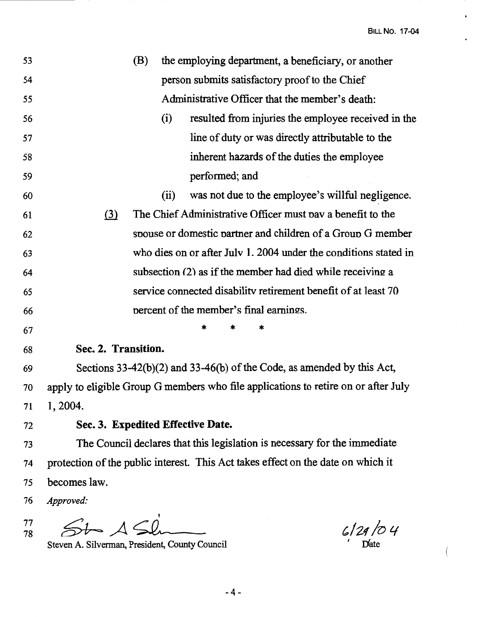$\bullet$ 

 $\cdot$ 

| 53 |                                                            | (B)  |                |  | the employing department, a beneficiary, or another                                |  |  |  |
|----|------------------------------------------------------------|------|----------------|--|------------------------------------------------------------------------------------|--|--|--|
| 54 |                                                            |      |                |  | person submits satisfactory proof to the Chief                                     |  |  |  |
| 55 |                                                            |      |                |  | Administrative Officer that the member's death:                                    |  |  |  |
| 56 |                                                            | (i)  |                |  | resulted from injuries the employee received in the                                |  |  |  |
| 57 |                                                            |      |                |  | line of duty or was directly attributable to the                                   |  |  |  |
| 58 |                                                            |      |                |  | inherent hazards of the duties the employee                                        |  |  |  |
| 59 |                                                            |      | performed; and |  |                                                                                    |  |  |  |
| 60 |                                                            | (ii) |                |  | was not due to the employee's willful negligence.                                  |  |  |  |
| 61 | (3)                                                        |      |                |  | The Chief Administrative Officer must pay a benefit to the                         |  |  |  |
| 62 |                                                            |      |                |  | spouse or domestic partner and children of a Group G member                        |  |  |  |
| 63 |                                                            |      |                |  | who dies on or after July 1. 2004 under the conditions stated in                   |  |  |  |
| 64 | subsection (2) as if the member had died while receiving a |      |                |  |                                                                                    |  |  |  |
| 65 |                                                            |      |                |  | service connected disability retirement benefit of at least 70                     |  |  |  |
| 66 |                                                            |      |                |  | percent of the member's final earnings.                                            |  |  |  |
| 67 |                                                            |      | *              |  |                                                                                    |  |  |  |
| 68 | Sec. 2. Transition.                                        |      |                |  |                                                                                    |  |  |  |
| 69 |                                                            |      |                |  | Sections $33-42(b)(2)$ and $33-46(b)$ of the Code, as amended by this Act,         |  |  |  |
| 70 |                                                            |      |                |  | apply to eligible Group G members who file applications to retire on or after July |  |  |  |
| 71 | 1, 2004.                                                   |      |                |  |                                                                                    |  |  |  |
| 72 | Sec. 3. Expedited Effective Date.                          |      |                |  |                                                                                    |  |  |  |
| 73 |                                                            |      |                |  | The Council declares that this legislation is necessary for the immediate          |  |  |  |
| 74 |                                                            |      |                |  | protection of the public interest. This Act takes effect on the date on which it   |  |  |  |
| 75 | becomes law.                                               |      |                |  |                                                                                    |  |  |  |
| 76 | Approved:                                                  |      |                |  |                                                                                    |  |  |  |

77 78 Steven A. Silverman, President, County Council

 $6/29/04$ 

 $\Big($